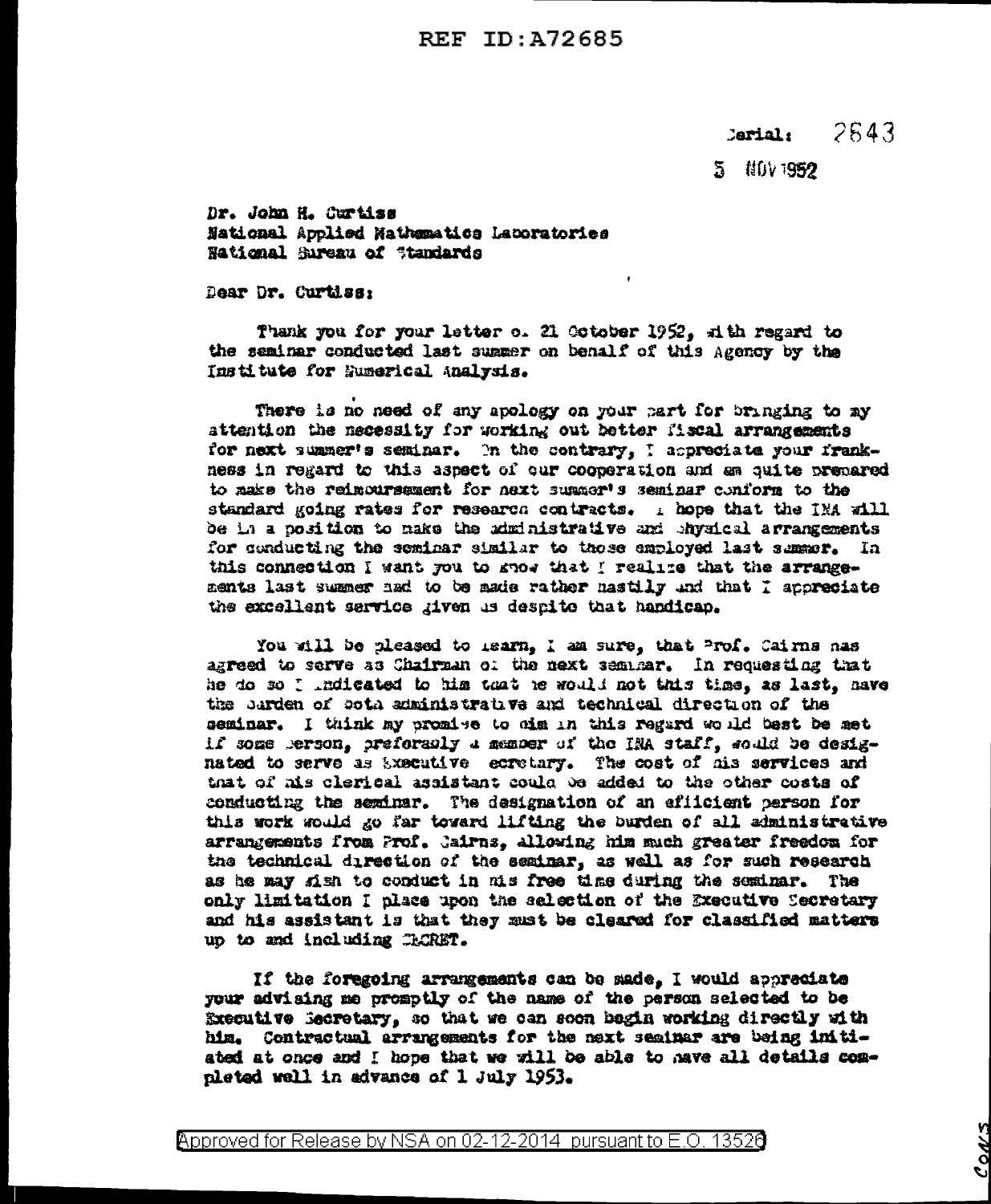## 2543  $cardat$

5 NOV 1952

Dr. John H. Curtiss National Applied Nathematics Laboratories National Sureau of Standards

Dear Dr. Curtiss:

Thank you for your letter o. 21 October 1952, at the regard to the seminar conducted last summer on benalf of this Agency by the Institute for Euserical Analysis.

There is no need of any apology on your part for bringing to my attention the necessity for working out better fiscal arrangements for next summer's seminar. In the contrary, I appreciate your frankness in regard to this aspect of our cooperation and am suite prepared to make the reinoursement for next summer's seminar conform to the standard going rates for research contracts. I hope that the IMA will be in a position to make the administrative and shysical arrangements for conducting the seminar similar to those employed last summer. In this connection I want you to good that I realize that the arrangements last summer had to be made rather hastily and that I appreciate the excellent service given us despite that handicap.

You will be pleased to mearn, I am sure, that Prof. Cairns has agreed to serve as Chairman of the next semmar. In requesting that he do so I indicated to him that he would not this time, as last, have the barden of soth administrative and technical direction of the seminar. I think my promise to him in this regard would best be met if some person, preformaly a member of the INA staff, sould be designated to serve as bxecutive ecretary. The cost of his services and that of his clerical assistant could be added to the other costs of conducting the seminar. The designation of an efficient person for this work would go far toward lifting the burden of all administrative arrangements from Prof. Jairns, allowing him much greater freedom for the technical direction of the seminar, as well as for such research as he may kish to conduct in his free time during the seminar. The only limitation I place upon the selection of the Executive Secretary and his assistant is that they must be cleared for classified matters up to and including CACRET.

If the foregoing arrangements can be made, I would appreciate your advising me promptly of the name of the person selected to be Executive Becretary, so that we can soon bagin working directly with him. Contractual arrangements for the next seminar are being initiated at once and I hope that we will be able to have all details completed well in advance of 1 July 1953.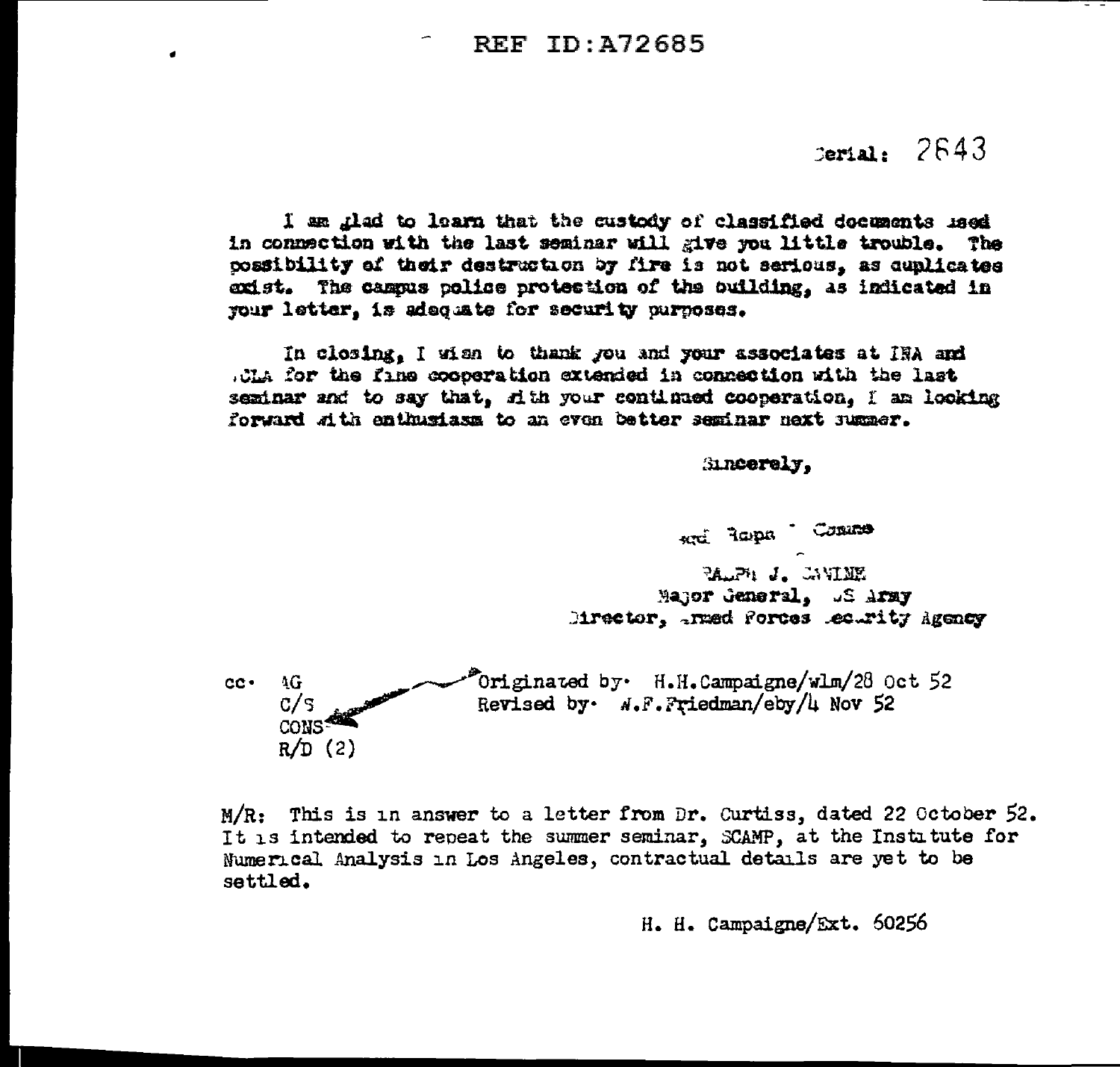٠

## Serial: 2643

I am thad to learn that the custody of classified documents med in connection with the last seminar will give you little trouble. The possibility of their destruction by fire is not serious, as cunlicates exist. The campus police protection of the ouilding, as indicated in your letter. is adequate for security purposes.

In closing. I wish to thank you and your associates at IRA and .OLA for the fine cooperation extended in connection with the last seminar and to say that, rith your continued cooperation. I am looking forward with enthusiasm to an even better seminar next summer.

## Sincerely.

enti Tapa Contro PALPH J. LAVINE Major General, US Army Mirector, traed forces lectrity Agency Originated by. H.H.Campaigne/wlm/28 Oct 52  $4G$  $cc -$ 

Revised by  $N$ . F. Friedman/eby/4 Nov 52  $C/S$ CONS  $R/D$  (2)

 $M/R$ : This is in answer to a letter from Dr. Curtiss, dated 22 October 52. It is intended to repeat the summer seminar, SCAMP, at the Institute for Numerical Analysis in Los Angeles, contractual details are yet to be settled.

H. H. Campaigne/Ext. 50256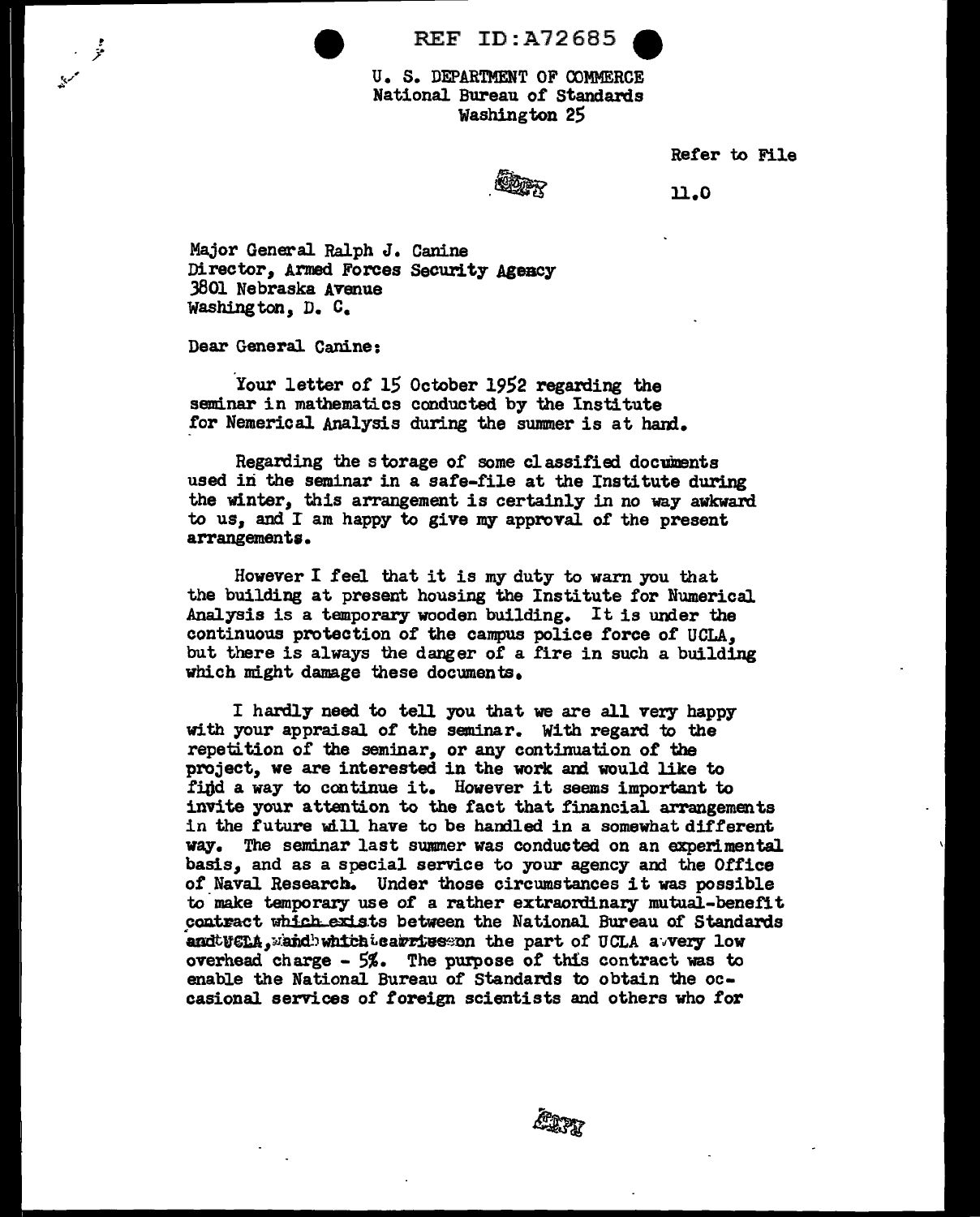REF ID:A72685 ~

U. S. DEPARTMENT OF OOMMERCE National Bureau of Standards Washington 25

Refer to File

 $\mathbb{Z}_{\mathbb{Z}}$ 

n.o

Major General Ralph J. Canine Director, Armed Forces Security Agency 3801 Nebraska Avenue Washington, D. C.

Dear General Canine:

*!*  j!'

Your letter of 15 October 1952 regarding the seminar in mathematics conducted by the Institute for Nemerical Analysis during the summer is at bani.

Regarding the storage of some classified documents used in the seminar in a safe-file at the Institute during the winter, this arrangement is certainly in no way awkward to us, and I am happy to give my approval of the present arrangement;.

However I feel that it is my duty to warn you that the building at present housing the Institute for Numerical Analysis is a temporary wooden building. It is under the continuous protection of the campus police force of UCLA, but there is always the danger of a fire in such a building which might damage these documents.

I hardly need to tell you that we are all very happy with your appraisal of the seminar. With regard to the repetition of the seminar, or any continuation of the project, we are interested in the work and would like to find a way to continue it. However it seems important to invite your attention to the fact that financial arrangements in the future will have to be handled in a somewhat different way. The sendnar last summer was conducted on an experimental. basis, and as a special service to your agency and the Office *ot* Naval Research. Under those circumstances it was possible to make temporary use of a rather extraordinary mutual-benefit contract which exists between the National Bureau of Standards andtuela, wand which teatries on the part of UCLA avvery low overhead charge - 5%. The purpose of this contract was to enable the National Bureau of Standards to obtain the occasional services of foreign scientists and others who for